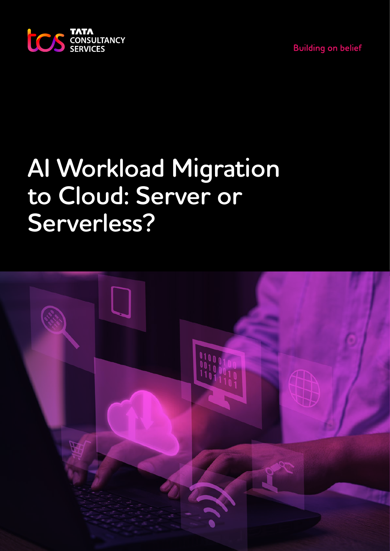



# **AI Workload Migration to Cloud: Server or Serverless?**

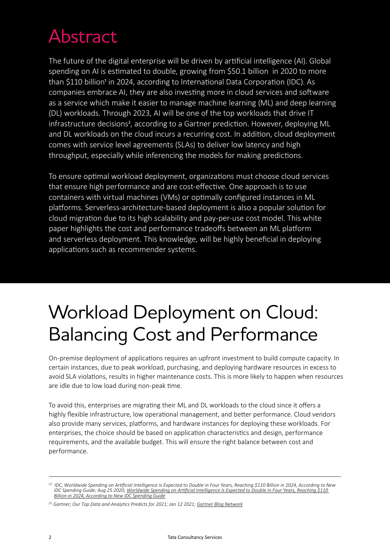# Abstract

The future of the digital enterprise will be driven by artificial intelligence (AI). Global spending on AI is estimated to double, growing from \$50.1 billion in 2020 to more than \$110 billion<sup>1</sup> in 2024, according to International Data Corporation (IDC). As companies embrace AI, they are also investing more in cloud services and software as a service which make it easier to manage machine learning (ML) and deep learning (DL) workloads. Through 2023, AI will be one of the top workloads that drive IT infrastructure decisions<sup>2</sup>, according to a Gartner prediction. However, deploying ML and DL workloads on the cloud incurs a recurring cost. In addition, cloud deployment comes with service level agreements (SLAs) to deliver low latency and high throughput, especially while inferencing the models for making predictions.

To ensure optimal workload deployment, organizations must choose cloud services that ensure high performance and are cost-effective. One approach is to use containers with virtual machines (VMs) or optimally configured instances in ML platforms. Serverless-architecture-based deployment is also a popular solution for cloud migration due to its high scalability and pay-per-use cost model. This white paper highlights the cost and performance tradeoffs between an ML platform and serverless deployment. This knowledge, will be highly beneficial in deploying applications such as recommender systems.

# Workload Deployment on Cloud: Balancing Cost and Performance

On-premise deployment of applications requires an upfront investment to build compute capacity. In certain instances, due to peak workload, purchasing, and deploying hardware resources in excess to avoid SLA violations, results in higher maintenance costs. This is more likely to happen when resources are idle due to low load during non-peak time.

To avoid this, enterprises are migrating their ML and DL workloads to the cloud since it offers a highly flexible infrastructure, low operational management, and better performance. Cloud vendors also provide many services, platforms, and hardware instances for deploying these workloads. For enterprises, the choice should be based on application characteristics and design, performance requirements, and the available budget. This will ensure the right balance between cost and performance.

*<sup>[1]</sup> IDC, Worldwide Spending on Artificial Intelligence Is Expected to Double in Four Years, Reaching \$110 Billion in 2024, According to New [IDC Spending Guide; Aug 25 2020; Worldwide Spending on Artificial Intelligence Is Expected to Double in Four Years, Reaching \\$110](https://www.idc.com/getdoc.jsp?containerId=prUS46794720)  Billion in 2024, According to New IDC Spending Guide*

<sup>&</sup>lt;sup>[2]</sup> Gartner; Our Top Data and Analytics Predicts for 2021; Jan 12 2021; [Gartner Blog Network](https://blogs.gartner.com/andrew_white/2021/01/12/our-top-data-and-analytics-predicts-for-2021/)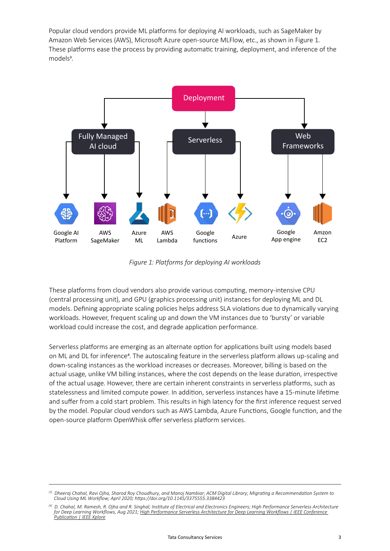Popular cloud vendors provide ML platforms for deploying AI workloads, such as SageMaker by Amazon Web Services (AWS), Microsoft Azure open-source MLFlow, etc., as shown in Figure 1. These platforms ease the process by providing automatic training, deployment, and inference of the models<sup>3</sup>.



*Figure 1: Platforms for deploying AI workloads*

These platforms from cloud vendors also provide various computing, memory-intensive CPU (central processing unit), and GPU (graphics processing unit) instances for deploying ML and DL models. Defining appropriate scaling policies helps address SLA violations due to dynamically varying workloads. However, frequent scaling up and down the VM instances due to 'bursty' or variable workload could increase the cost, and degrade application performance.

Serverless platforms are emerging as an alternate option for applications built using models based on ML and DL for inference4. The autoscaling feature in the serverless platform allows up-scaling and down-scaling instances as the workload increases or decreases. Moreover, billing is based on the actual usage, unlike VM billing instances, where the cost depends on the lease duration, irrespective of the actual usage. However, there are certain inherent constraints in serverless platforms, such as statelessness and limited compute power. In addition, serverless instances have a 15-minute lifetime and suffer from a cold start problem. This results in high latency for the first inference request served by the model. Popular cloud vendors such as AWS Lambda, Azure Functions, Google function, and the open-source platform OpenWhisk offer serverless platform services.

*<sup>[3]</sup> Dheeraj Chahal, Ravi Ojha, Sharod Roy Choudhury, and Manoj Nambiar; ACM Digital Library; Migrating a Recommendation System to Cloud Using ML Workflow; April 2020; https://doi.org/10.1145/3375555.3384423*

*<sup>[4]</sup> D. Chahal, M. Ramesh, R. Ojha and R. Singhal; Institute of Electrical and Electronics Engineers; High Performance Serverless Architecture [for Deep Learning Workflows, Aug 2021; High Performance Serverless Architecture for Deep Learning Workflows | IEEE Conference](https://ieeexplore.ieee.org/document/9499397)  Publication | IEEE Xplore*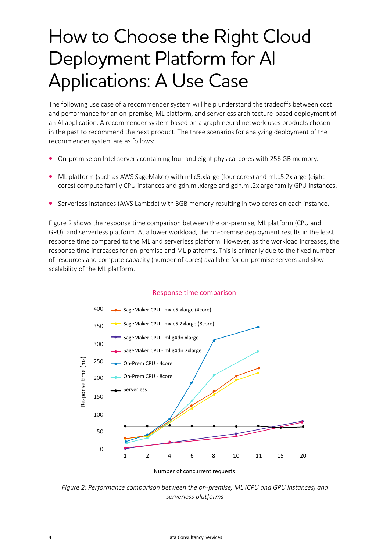# How to Choose the Right Cloud Deployment Platform for AI Applications: A Use Case

The following use case of a recommender system will help understand the tradeoffs between cost and performance for an on-premise, ML platform, and serverless architecture-based deployment of an AI application. A recommender system based on a graph neural network uses products chosen in the past to recommend the next product. The three scenarios for analyzing deployment of the recommender system are as follows:

- On-premise on Intel servers containing four and eight physical cores with 256 GB memory.
- ML platform (such as AWS SageMaker) with ml.c5.xlarge (four cores) and ml.c5.2xlarge (eight cores) compute family CPU instances and gdn.ml.xlarge and gdn.ml.2xlarge family GPU instances.
- Serverless instances (AWS Lambda) with 3GB memory resulting in two cores on each instance.

Figure 2 shows the response time comparison between the on-premise, ML platform (CPU and GPU), and serverless platform. At a lower workload, the on-premise deployment results in the least response time compared to the ML and serverless platform. However, as the workload increases, the response time increases for on-premise and ML platforms. This is primarily due to the fixed number of resources and compute capacity (number of cores) available for on-premise servers and slow scalability of the ML platform.



#### Response time comparison

*Figure 2: Performance comparison between the on-premise, ML (CPU and GPU instances) and* 

*serverless platforms*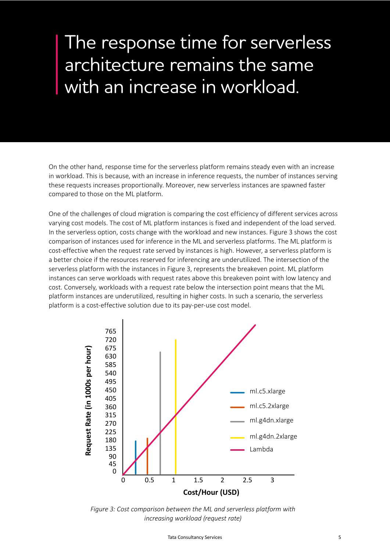### The response time for serverless architecture remains the same with an increase in workload.

On the other hand, response time for the serverless platform remains steady even with an increase in workload. This is because, with an increase in inference requests, the number of instances serving these requests increases proportionally. Moreover, new serverless instances are spawned faster compared to those on the ML platform.

One of the challenges of cloud migration is comparing the cost efficiency of different services across varying cost models. The cost of ML platform instances is fixed and independent of the load served. In the serverless option, costs change with the workload and new instances. Figure 3 shows the cost comparison of instances used for inference in the ML and serverless platforms. The ML platform is cost-effective when the request rate served by instances is high. However, a serverless platform is a better choice if the resources reserved for inferencing are underutilized. The intersection of the serverless platform with the instances in Figure 3, represents the breakeven point. ML platform instances can serve workloads with request rates above this breakeven point with low latency and cost. Conversely, workloads with a request rate below the intersection point means that the ML platform instances are underutilized, resulting in higher costs. In such a scenario, the serverless platform is a cost-effective solution due to its pay-per-use cost model.



*Figure 3: Cost comparison between the ML and serverless platform with increasing workload (request rate)*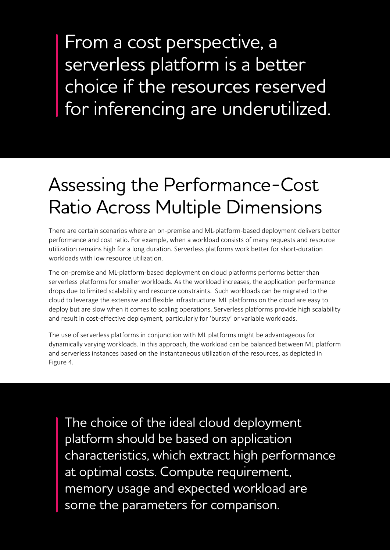From a cost perspective, a serverless platform is a better choice if the resources reserved for inferencing are underutilized.

# Assessing the Performance-Cost Ratio Across Multiple Dimensions

There are certain scenarios where an on-premise and ML-platform-based deployment delivers better performance and cost ratio. For example, when a workload consists of many requests and resource utilization remains high for a long duration. Serverless platforms work better for short-duration workloads with low resource utilization.

The on-premise and ML-platform-based deployment on cloud platforms performs better than serverless platforms for smaller workloads. As the workload increases, the application performance drops due to limited scalability and resource constraints. Such workloads can be migrated to the cloud to leverage the extensive and flexible infrastructure. ML platforms on the cloud are easy to deploy but are slow when it comes to scaling operations. Serverless platforms provide high scalability and result in cost-effective deployment, particularly for 'bursty' or variable workloads.

The use of serverless platforms in conjunction with ML platforms might be advantageous for dynamically varying workloads. In this approach, the workload can be balanced between ML platform and serverless instances based on the instantaneous utilization of the resources, as depicted in Figure 4.

The choice of the ideal cloud deployment platform should be based on application characteristics, which extract high performance at optimal costs. Compute requirement, memory usage and expected workload are some the parameters for comparison.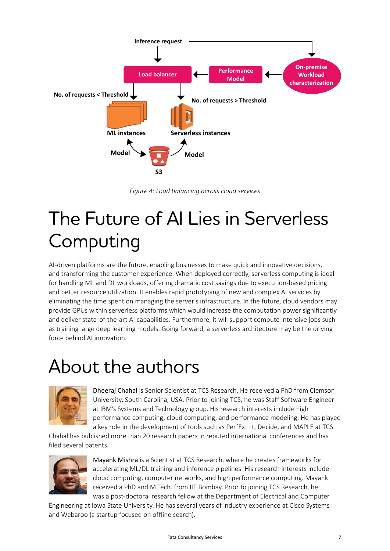

*Figure 4: Load balancing across cloud services*

# The Future of AI Lies in Serverless Computing

AI-driven platforms are the future, enabling businesses to make quick and innovative decisions, and transforming the customer experience. When deployed correctly, serverless computing is ideal for handling ML and DL workloads, offering dramatic cost savings due to execution-based pricing and better resource utilization. It enables rapid prototyping of new and complex AI services by eliminating the time spent on managing the server's infrastructure. In the future, cloud vendors may provide GPUs within serverless platforms which would increase the computation power significantly and deliver state-of-the-art AI capabilities. Furthermore, it will support compute intensive jobs such as training large deep learning models. Going forward, a serverless architecture may be the driving force behind AI innovation.

### About the authors



Dheeraj Chahal is Senior Scientist at TCS Research. He received a PhD from Clemson University, South Carolina, USA. Prior to joining TCS, he was Staff Software Engineer at IBM's Systems and Technology group. His research interests include high performance computing, cloud computing, and performance modeling. He has played a key role in the development of tools such as PerfExt++, Decide, and MAPLE at TCS.

Chahal has published more than 20 research papers in reputed international conferences and has filed several patents.



Mayank Mishra is a Scientist at TCS Research, where he creates frameworks for accelerating ML/DL training and inference pipelines. His research interests include cloud computing, computer networks, and high performance computing. Mayank received a PhD and M.Tech. from IIT Bombay. Prior to joining TCS Research, he was a post-doctoral research fellow at the Department of Electrical and Computer

Engineering at Iowa State University. He has several years of industry experience at Cisco Systems and Webaroo (a startup focused on offline search).